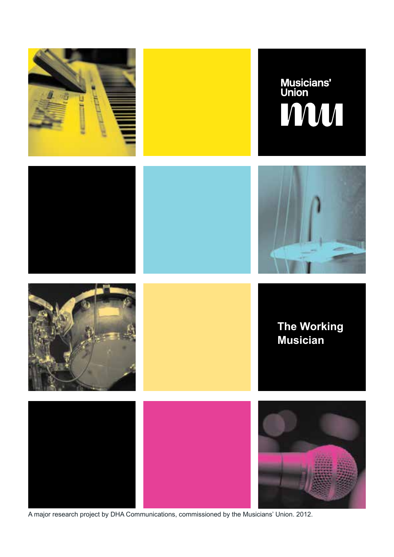

A major research project by DHA Communications, commissioned by the Musicians' Union. 2012.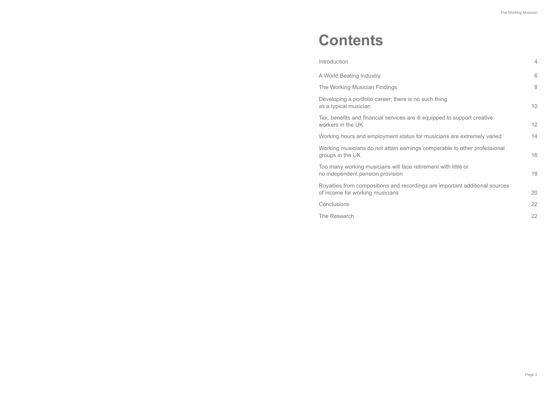| Introduction                                                                                                   | $\overline{4}$ |
|----------------------------------------------------------------------------------------------------------------|----------------|
| A World Beating Industry                                                                                       | 6              |
| The Working Musician Findings                                                                                  | 8              |
| Developing a portfolio career; there is no such thing<br>as a typical musician                                 | 10             |
| Tax, benefits and financial services are ill equipped to support creative<br>workers in the UK                 | 12             |
| Working hours and employment status for musicians are extremely varied                                         | 14             |
| Working musicians do not attain earnings comparable to other professional<br>groups in the UK                  | 16             |
| Too many working musicians will face retirement with little or<br>no independent pension provision             | 18             |
| Royalties from compositions and recordings are important additional sources<br>of income for working musicians | 20             |
| Conclusions                                                                                                    | 22             |
| The Research                                                                                                   | 22             |

## **Contents**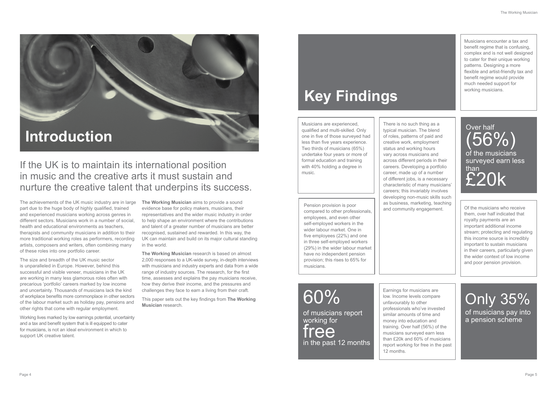The achievements of the UK music industry are in large part due to the huge body of highly qualified, trained and experienced musicians working across genres in different sectors. Musicians work in a number of social, health and educational environments as teachers, therapists and community musicians in addition to their more traditional working roles as performers, recording artists, composers and writers, often combining many of these roles into one portfolio career.

The size and breadth of the UK music sector is unparalleled in Europe. However, behind this successful and visible veneer, musicians in the UK are working in many less glamorous roles often with precarious 'portfolio' careers marked by low income and uncertainty. Thousands of musicians lack the kind of workplace benefits more commonplace in other sectors of the labour market such as holiday pay, pensions and other rights that come with regular employment.

Working lives marked by low earnings potential, uncertainty and a tax and benefit system that is ill equipped to cater for musicians, is not an ideal environment in which to support UK creative talent.

**The Working Musician** aims to provide a sound evidence base for policy makers, musicians, their representatives and the wider music industry in order to help shape an environment where the contributions and talent of a greater number of musicians are better recognised, sustained and rewarded. In this way, the UK can maintain and build on its major cultural standing in the world.

**The Working Musician** research is based on almost 2,000 responses to a UK-wide survey, in-depth interviews with musicians and industry experts and data from a wide range of industry sources. The research, for the first time, assesses and explains the pay musicians receive, how they derive their income, and the pressures and challenges they face to earn a living from their craft.

This paper sets out the key findings from **The Working Musician** research.

### If the UK is to maintain its international position in music and the creative arts it must sustain and nurture the creative talent that underpins its success.

## **Introduction**

## **Key Findings**

Musicians are experienced, qualified and multi-skilled. Only one in five of those surveyed had less than five years experience. Two thirds of musicians (65%) undertake four years or more of formal education and training with 40% holding a degree in music.

Musicians encounter a tax and benefit regime that is confusing, complex and is not well designed to cater for their unique working patterns. Designing a more flexible and artist-friendly tax and benefit regime would provide much needed support for working musicians.

Pension provision is poor compared to other professionals, employees, and even other self-employed workers in the wider labour market. One in five employees (22%) and one in three self-employed workers (29%) in the wider labour market have no independent pension provision; this rises to 65% for musicians.

Of the musicians who receive them, over half indicated that royalty payments are an important additional income stream; protecting and regulating this income source is incredibly important to sustain musicians in their careers, particularly given the wider context of low income and poor pension provision.

There is no such thing as a typical musician. The blend of roles, patterns of paid and creative work, employment status and working hours vary across musicians and across different periods in their careers. Developing a portfolio career, made up of a number of different jobs, is a necessary characteristic of many musicians' careers; this invariably involves developing non-music skills such as business, marketing, teaching

and community engagement.

Earnings for musicians are low. Income levels compare unfavourably to other professionals who've invested similar amounts of time and money into education and training. Over half (56%) of the musicians surveyed earn less than £20k and 60% of musicians report working for free in the past 12 months.

Over half (56%) of the musicians surveyed earn less than £20k

60%

of musicians report working for free in the past 12 months

### Only 35% of musicians pay into a pension scheme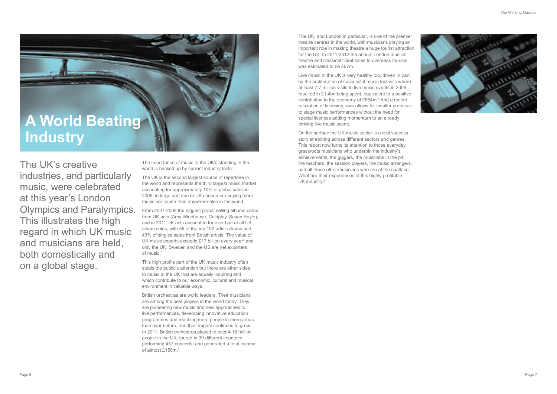

The UK, and London in particular, is one of the premier theatre centres in the world, with musicians playing an important role in making theatre a huge tourist attraction for the UK. In 2011-2012 the annual London musical theatre and classical ticket sales to overseas tourists was estimated to be £67m.

Live music in the UK is very healthy too, driven in part by the proliferation of successful music festivals where at least 7.7 million visits to live music events in 2009 resulted in £1.4bn being spent, equivalent to a positive contribution to the economy of £864m.<sup>5</sup> And a recent relaxation of licensing laws allows for smaller premises to stage music performances without the need for special licences adding momentum to an already thriving live music scene.

The importance of music to the UK's standing in the world is backed up by current industry facts.<sup>1</sup>

From 2007-2009 the biggest global selling albums came from UK acts (Amy Winehouse, Coldplay, Susan Boyle), and in 2011 UK acts accounted for over half of all UK album sales, with 56 of the top 100 artist albums and 43% of singles sales from British artists. The value of UK music exports exceeds  $£17$  billion every year<sup>2</sup> and only the UK, Sweden and the US are net exporters of music.<sup>3</sup>

On the surface the UK music sector is a real success story stretching across different sectors and genres. This report now turns its attention to those everyday, grassroots musicians who underpin the industry's achievements; the giggers, the musicians in the pit, the teachers, the session players, the music arrangers, and all those other musicians who are at the coalface. What are their experiences of this highly profitable UK industry?

The UK's creative industries, and particularly music, were celebrated at this year's London Olympics and Paralympics. This illustrates the high regard in which UK music and musicians are held, both domestically and on a global stage.

The UK is the second largest source of repertoire in the world and represents the third largest music market accounting for approximately 10% of global sales in 2009, in large part due to UK consumers buying more music per capita than anywhere else in the world.

This high profile part of the UK music industry often steals the public's attention but there are other sides to music in the UK that are equally inspiring and which contribute to our economic, cultural and musical environment in valuable ways.

British orchestras are world leaders. Their musicians are among the best players in the world today. They are pioneering new music and new approaches to live performances, developing innovative education programmes and reaching more people in more areas than ever before, and their impact continues to grow. In 2011, British orchestras played to over 4.18 million people in the UK; toured in 39 different countries performing 457 concerts; and generated a total income of almost £150m.4

## **A World Beating Industry**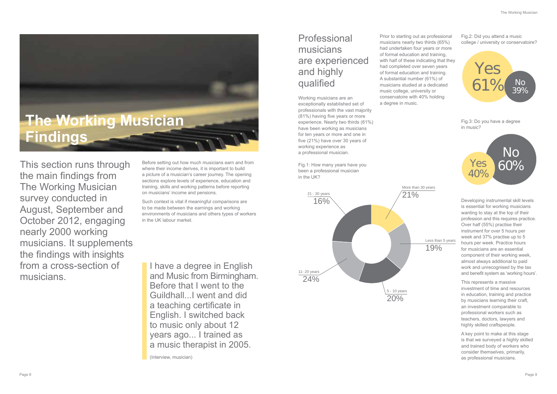This section runs through the main findings from The Working Musician survey conducted in August, September and October 2012, engaging nearly 2000 working musicians. It supplements the findings with insights from a cross-section of musicians.

Before setting out how much musicians earn and from where their income derives, it is important to build a picture of a musician's career journey. The opening sections explore levels of experience, education and training, skills and working patterns before reporting on musicians' income and pensions.

Such context is vital if meaningful comparisons are to be made between the earnings and working environments of musicians and others types of workers in the UK labour market.



### Professional musicians are experienced and highly qualified

Working musicians are an exceptionally established set of professionals with the vast majority (81%) having five years or more experience. Nearly two thirds (61%) have been working as musicians for ten years or more and one in five (21%) have over 30 years of working experience as a professional musician.

Fig.1: How many years have you been a professional musician in the UK?

Prior to starting out as professional musicians nearly two thirds (65%) had undertaken four years or more of formal education and training, with half of these indicating that they had completed over seven years of formal education and training. A substantial number (61%) of musicians studied at a dedicated music college, university or conservatoire with 40% holding a degree in music.

Fig.2: Did you attend a music college / university or conservatoire?

Fig.3: Do you have a degree in music?

Developing instrumental skill levels is essential for working musicians wanting to stay at the top of their profession and this requires practice. Over half (55%) practise their instrument for over 5 hours per week and 37% practise up to 5 hours per week. Practice hours for musicians are an essential component of their working week, almost always additional to paid work and unrecognised by the tax and benefit system as 'working hours'.

This represents a massive investment of time and resources in education, training and practice by musicians learning their craft, an investment comparable to professional workers such as teachers, doctors, lawyers and highly skilled craftspeople.

A key point to make at this stage is that we surveyed a highly skilled and trained body of workers who consider themselves, primarily, as professional musicians.

Less than 5 years 19%







I have a degree in English and Music from Birmingham. Before that I went to the Guildhall...I went and did a teaching certificate in English. I switched back to music only about 12 years ago... I trained as a music therapist in 2005.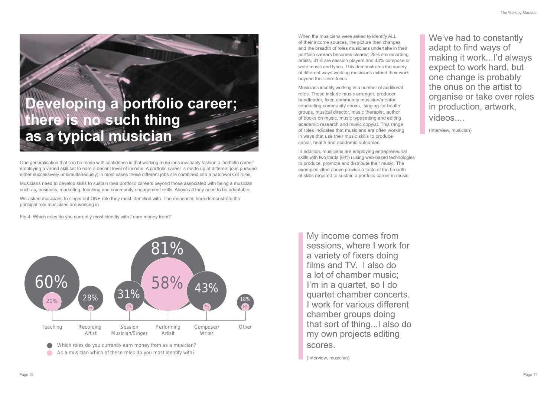When the musicians were asked to identify ALL of their income sources, the picture then changes and the breadth of roles musicians undertake in their portfolio careers becomes clearer; 28% are recording artists, 31% are session players and 43% compose or write music and lyrics. This demonstrates the variety of different ways working musicians extend their work beyond their core focus.

Musicians identify working in a number of additional roles. These include music arranger, producer, bandleader, fixer, community musician/mentor, conducting community choirs, 'singing for health' groups, musical director, music therapist, author of books on music, music typesetting and editing, academic research and music copyist. This range of roles indicates that musicians are often working in ways that use their music skills to produce social, health and academic outcomes.

In addition, musicians are employing entrepreneurial skills with two thirds (64%) using web-based technologies to produce, promote and distribute their music. The examples cited above provide a taste of the breadth of skills required to sustain a portfolio career in music.

One generalisation that can be made with confidence is that working musicians invariably fashion a 'portfolio career' employing a varied skill set to earn a decent level of income. A portfolio career is made up of different jobs pursued either successively or simultaneously; in most cases these different jobs are combined into a patchwork of roles.

Musicians need to develop skills to sustain their portfolio careers beyond those associated with being a musician such as, business, marketing, teaching and community engagement skills. Above all they need to be adaptable.

We asked musicians to single out ONE role they most identified with. The responses here demonstrate the principal role musicians are working in.

Fig.4: Which roles do you currently most identify with / earn money from?

# **Developing a portfolio career; there is no such thing as a typical musician**

We've had to constantly adapt to find ways of making it work...I'd always expect to work hard, but one change is probably the onus on the artist to organise or take over roles in production, artwork, videos....

(Interview, musician)

My income comes from sessions, where I work for a variety of fixers doing films and TV. I also do a lot of chamber music; I'm in a quartet, so I do quartet chamber concerts. I work for various different chamber groups doing that sort of thing...I also do my own projects editing scores.

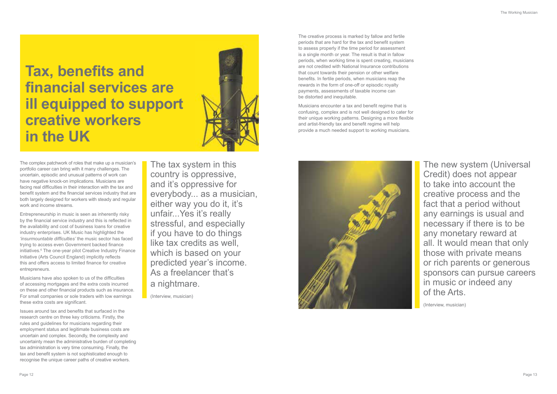The creative process is marked by fallow and fertile periods that are hard for the tax and benefit system to assess properly if the time period for assessment is a single month or year. The result is that in fallow periods, when working time is spent creating, musicians are not credited with National Insurance contributions that count towards their pension or other welfare benefits. In fertile periods, when musicians reap the rewards in the form of one-off or episodic royalty payments, assessments of taxable income can be distorted and inequitable.

Musicians encounter a tax and benefit regime that is confusing, complex and is not well designed to cater for their unique working patterns. Designing a more flexible and artist-friendly tax and benefit regime will help provide a much needed support to working musicians.



The complex patchwork of roles that make up a musician's portfolio career can bring with it many challenges. The uncertain, episodic and unusual patterns of work can have negative knock-on implications. Musicians are facing real difficulties in their interaction with the tax and benefit system and the financial services industry that are both largely designed for workers with steady and regular work and income streams.

Entrepreneurship in music is seen as inherently risky by the financial service industry and this is reflected in the availability and cost of business loans for creative industry enterprises. UK Music has highlighted the *'insurmountable difficulties'* the music sector has faced trying to access even Government backed finance initiatives.<sup>6</sup> The one-year pilot Creative Industry Finance Initiative (Arts Council England) implicitly reflects this and offers access to limited finance for creative entrepreneurs.

Musicians have also spoken to us of the difficulties of accessing mortgages and the extra costs incurred on these and other financial products such as insurance. For small companies or sole traders with low earnings these extra costs are significant.

Issues around tax and benefits that surfaced in the research centre on three key criticisms. Firstly, the rules and guidelines for musicians regarding their employment status and legitimate business costs are uncertain and complex. Secondly, the complexity and uncertainty mean the administrative burden of completing tax administration is very time consuming. Finally, the tax and benefit system is not sophisticated enough to recognise the unique career paths of creative workers.

**Tax, benefits and financial services are ill equipped to support creative workers in the UK**



The tax system in this country is oppressive, and it's oppressive for everybody... as a musician, either way you do it, it's unfair...Yes it's really stressful, and especially if you have to do things like tax credits as well. which is based on your predicted year's income. As a freelancer that's a nightmare.

(Interview, musician)

The new system (Universal Credit) does not appear to take into account the creative process and the fact that a period without any earnings is usual and necessary if there is to be any monetary reward at all. It would mean that only those with private means or rich parents or generous sponsors can pursue careers in music or indeed any of the Arts.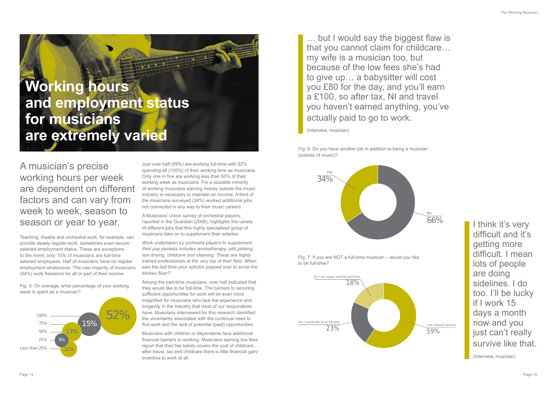A musician's precise working hours per week are dependent on different factors and can vary from week to week, season to season or year to year.

Teaching, theatre and orchestral work, for example, can provide steady regular work, sometimes even secure salaried employment status. These are exceptions to the norm; only 10% of musicians are full-time salaried employees. Half of musicians have no regular employment whatsoever. The vast majority of musicians (94%) work freelance for all or part of their income.

Fig. 5: On average, what percentage of your working week is spent as a musician?

Just over half (59%) are working full-time with 52% spending all (100%) of their working time as musicians. Only one in five are working less than 50% of their working week as musicians. For a sizeable minority of working musicians earning money outside the music industry is necessary to maintain an income. A third of the musicians surveyed (34%) worked additional jobs not connected in any way to their music careers.

A Musicians' Union survey of orchestral players, reported in the Guardian (2006), highlights the variety of different jobs that this highly specialised group of musicians take on to supplement their salaries.

*Work undertaken by orchestra players to supplement their pay packets includes aromatherapy, odd jobbing, taxi driving, childcare and cleaning. These are highly trained professionals at the very top of their field. When was the last time your solicitor popped over to scrub the kitchen floor?7*

I think it's very difficult and it's getting more difficult. I mean lots of people are doing sidelines. I do too. I'll be lucky if I work 15 days a month now and you just can't really survive like that.

Among the part-time musicians, over half indicated that they would like to be full-time. The barriers to securing sufficient opportunities for work will be even more magnified for musicians who lack the experience and longevity in the industry that most of our respondents have. Musicians interviewed for this research identified the uncertainty associated with the continual need to find work and the lack of potential (paid) opportunities.

Musicians with children or dependents face additional financial barriers to working. Musicians earning low fees report that their fee barely covers the cost of childcare; after travel, tax and childcare there is little financial gain/ incentive to work at all.

## **Working hours and employment status for musicians are extremely varied**



Fig. 6: Do you have another job in addition to being a musician (outside of music)?





Fig. 7: If you are NOT a full-time musician – would you like to be full-time?

> I am already full-time 59%



(Interview, musician)

… but I would say the biggest flaw is that you cannot claim for childcare… my wife is a musician too, but because of the low fees she's had to give up… a babysitter will cost you £80 for the day, and you'll earn a £100, so after tax, NI and travel you haven't earned anything, you've actually paid to go to work.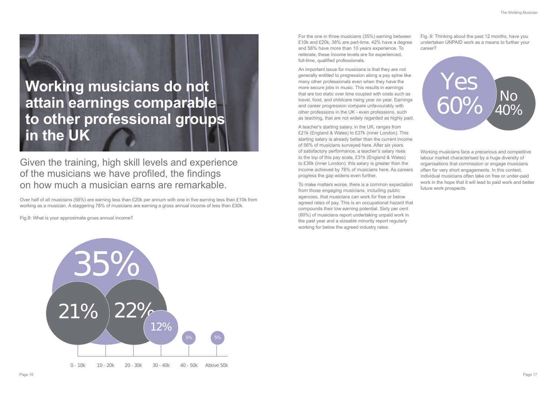For the one in three musicians (35%) earning between £10k and £20k, 38% are part-time, 42% have a degree and 58% have more than 10 years experience. To reiterate, these income levels are for experienced, full-time, qualified professionals.

An important issue for musicians is that they are not generally entitled to progression along a pay spine like many other professionals even when they have the more secure jobs in music. This results in earnings that are too static over time coupled with costs such as travel, food, and childcare rising year on year. Earnings and career progression compare unfavourably with other professions in the UK - even professions, such as teaching, that are not widely regarded as highly paid.

A teacher's starting salary, in the UK, ranges from £21k (England & Wales) to £27k (inner London). This starting salary is already better than the current income of 56% of musicians surveyed here. After six years of satisfactory performance, a teacher's salary rises to the top of this pay scale, £31k (England & Wales) to £36k (inner London); this salary is greater than the income achieved by 78% of musicians here. As careers progress the gap widens even further.

To make matters worse, there is a common expectation from those engaging musicians, including public agencies, that musicians can work for free or below agreed rates of pay. This is an occupational hazard that compounds their low earning potential. Sixty per cent (60%) of musicians report undertaking unpaid work in the past year and a sizeable minority report regularly working for below the agreed industry rates.

Fig. 9: Thinking about the past 12 months, have you undertaken UNPAID work as a means to further your career?

Working musicians face a precarious and competitive labour market characterised by a huge diversity of organisations that commission or engage musicians often for very short engagements. In this context, individual musicians often take on free or under-paid work in the hope that it will lead to paid work and better future work prospects.

Given the training, high skill levels and experience of the musicians we have profiled, the findings on how much a musician earns are remarkable.

Over half of all musicians (56%) are earning less than £20k per annum with one in five earning less than £10k from working as a musician. A staggering 78% of musicians are earning a gross annual income of less than £30k.

Fig.8: What is your approximate gross annual income?





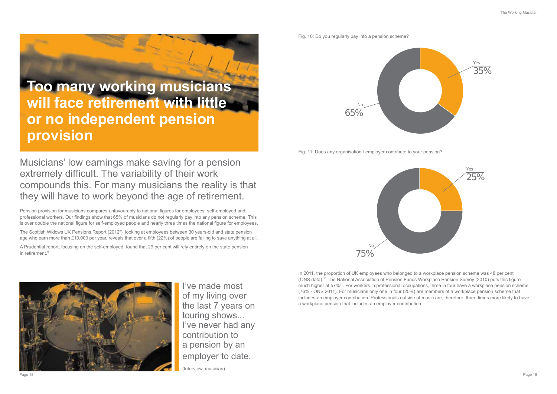Musicians' low earnings make saving for a pension extremely difficult. The variability of their work compounds this. For many musicians the reality is that they will have to work beyond the age of retirement.

The Scottish Widows UK Pensions Report (20128 ), looking at employees between 30 years-old and state pension age who earn more than £10,000 per year, reveals that over a fifth (22%) of people are failing to save anything at all.

A Prudential report, focusing on the self-employed, found that 29 per cent will rely entirely on the state pension in retirement.<sup>9</sup>



Pension provision for musicians compares unfavourably to national figures for employees, self-employed and professional workers. Our findings show that 65% of musicians do not regularly pay into any pension scheme. This is over double the national figure for self-employed people and nearly three times the national figure for employees.

> In 2011, the proportion of UK employees who belonged to a workplace pension scheme was 48 per cent (ONS data).10 The National Association of Pension Funds Workplace Pension Survey (2010) puts this figure much higher at 57%11. For workers in professional occupations, three in four have a workplace pension scheme (76% - ONS 2011). For musicians only one in four (25%) are members of a workplace pension scheme that includes an employer contribution. Professionals outside of music are, therefore, three times more likely to have a workplace pension that includes an employer contribution.

Fig. 10: Do you regularly pay into a pension scheme?



## **Too many working musicians will face retirement with little or no independent pension provision**



I've made most of my living over the last 7 years on touring shows... I've never had any contribution to a pension by an employer to date.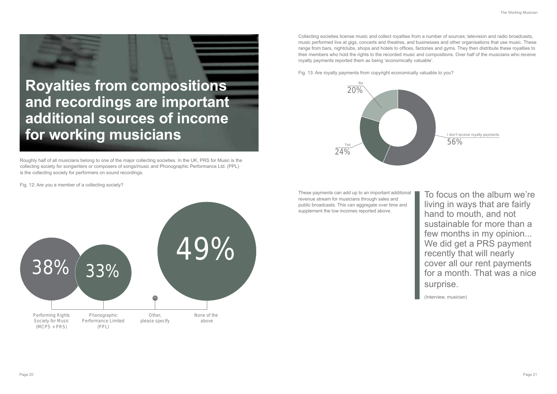Collecting societies license music and collect royalties from a number of sources; television and radio broadcasts, music performed live at gigs, concerts and theatres, and businesses and other organisations that use music. These range from bars, nightclubs, shops and hotels to offices, factories and gyms. They then distribute these royalties to their members who hold the rights to the recorded music and compositions. Over half of the musicians who receive royalty payments reported them as being 'economically valuable'.

Fig. 13: Are royalty payments from copyright economically valuable to you?

These payments can add up to an important additional revenue stream for musicians through sales and public broadcasts. This can aggregate over time and supplement the low incomes reported above.

To focus on the album we're living in ways that are fairly hand to mouth, and not sustainable for more than a few months in my opinion... We did get a PRS payment recently that will nearly cover all our rent payments for a month. That was a nice surprise.

(Interview, musician)

Roughly half of all musicians belong to one of the major collecting societies. In the UK, PRS for Music is the collecting society for songwriters or composers of songs/music and Phonographic Performance Ltd. (PPL) is the collecting society for performers on sound recordings.

Fig. 12: Are you a member of a collecting society?





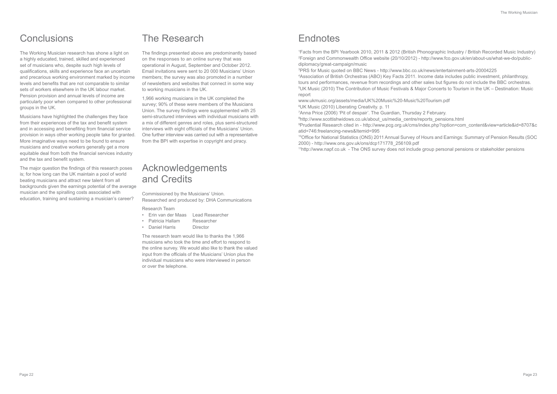1 Facts from the BPI Yearbook 2010, 2011 & 2012 (British Phonographic Industry / British Recorded Music Industry) 2 Foreign and Commonwealth Office website (20/10/2012) - http://www.fco.gov.uk/en/about-us/what-we-do/publicdiplomacy/great-campaign/music

3 PRS for Music quoted on BBC News - http://www.bbc.co.uk/news/entertainment-arts-20004225 4 Association of British Orchestras (ABO) Key Facts 2011. Income data includes public investment, philanthropy, tours and performances, revenue from recordings and other sales but figures do not include the BBC orchestras. 5 UK Music (2010) The Contribution of Music Festivals & Major Concerts to Tourism in the UK – Destination: Music report

www.ukmusic.org/assets/media/UK%20Music%20-Music%20Tourism.pdf 6 UK Music (2010) Liberating Creativity. p. 11

 Anna Price (2006) 'Pit of despair'. The Guardian, Thursday 2 February. http://www.scottishwidows.co.uk/about\_us/media\_centre/reports\_pensions.html Prudential Research cited in - http://www.pcg.org.uk/cms/index.php?option=com\_content&view=article&id=8707&c atid=746:freelancing-news&Itemid=995

10Office for National Statistics (ONS) 2011 Annual Survey of Hours and Earnings: Summary of Pension Results (SOC 2000) - http://www.ons.gov.uk/ons/dcp171778\_256109.pdf 11http://www.napf.co.uk - The ONS survey does not include group personal pensions or stakeholder pensions

### **Conclusions**

The Working Musician research has shone a light on a highly educated, trained, skilled and experienced set of musicians who, despite such high levels of qualifications, skills and experience face an uncertain and precarious working environment marked by income levels and benefits that are not comparable to similar sets of workers elsewhere in the UK labour market. Pension provision and annual levels of income are particularly poor when compared to other professional groups in the UK.

Musicians have highlighted the challenges they face from their experiences of the tax and benefit system and in accessing and benefiting from financial service provision in ways other working people take for granted. More imaginative ways need to be found to ensure musicians and creative workers generally get a more equitable deal from both the financial services industry and the tax and benefit system.

The major question the findings of this research poses is; for how long can the UK maintain a pool of world beating musicians and attract new talent from all backgrounds given the earnings potential of the average musician and the spiralling costs associated with education, training and sustaining a musician's career?

### The Research

The findings presented above are predominantly based on the responses to an online survey that was operational in August, September and October 2012. Email invitations were sent to 20 000 Musicians' Union members; the survey was also promoted in a number of newsletters and websites that connect in some way to working musicians in the UK.

1,966 working musicians in the UK completed the survey; 90% of these were members of the Musicians Union. The survey findings were supplemented with 25 semi-structured interviews with individual musicians with a mix of different genres and roles, plus semi-structured interviews with eight officials of the Musicians' Union. One further interview was carried out with a representative from the BPI with expertise in copyright and piracy.

### Acknowledgements and Credits

Commissioned by the Musicians' Union. Researched and produced by: DHA Communications

Research Team

- Erin van der Maas Lead Researcher
- Patricia Hallam Researcher
- Daniel Harris Director

The research team would like to thanks the 1,966 musicians who took the time and effort to respond to the online survey. We would also like to thank the valued input from the officials of the Musicians' Union plus the individual musicians who were interviewed in person or over the telephone.

### **Endnotes**